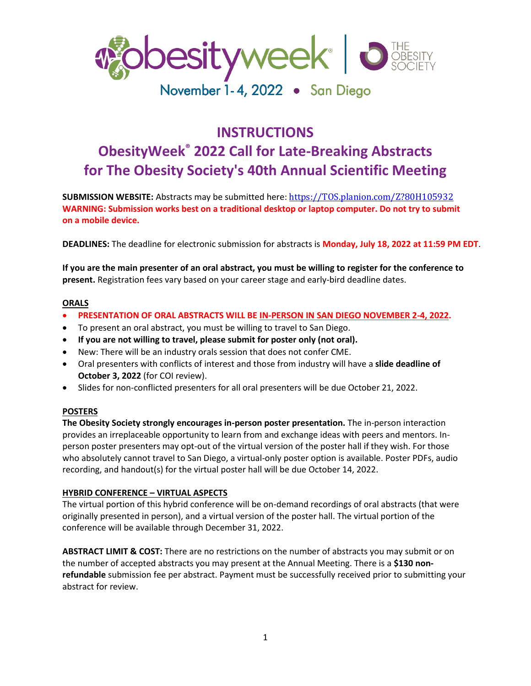

# **INSTRUCTIONS ObesityWeek® 2022 Call for Late-Breaking Abstracts for The Obesity Society's 40th Annual Scientific Meeting**

**SUBMISSION WEBSITE:** Abstracts may be submitted here: [https://TOS.planion.com/Z?80H105932](https://tos.planion.com/Z?80H105932) **WARNING: Submission works best on a traditional desktop or laptop computer. Do not try to submit on a mobile device.**

**DEADLINES:** The deadline for electronic submission for abstracts is **Monday, July 18, 2022 at 11:59 PM EDT**.

**If you are the main presenter of an oral abstract, you must be willing to register for the conference to present.** Registration fees vary based on your career stage and early-bird deadline dates.

#### **ORALS**

- **PRESENTATION OF ORAL ABSTRACTS WILL BE IN-PERSON IN SAN DIEGO NOVEMBER 2-4, 2022.**
- To present an oral abstract, you must be willing to travel to San Diego.
- **If you are not willing to travel, please submit for poster only (not oral).**
- New: There will be an industry orals session that does not confer CME.
- Oral presenters with conflicts of interest and those from industry will have a **slide deadline of October 3, 2022** (for COI review).
- Slides for non-conflicted presenters for all oral presenters will be due October 21, 2022.

### **POSTERS**

**The Obesity Society strongly encourages in-person poster presentation.** The in-person interaction provides an irreplaceable opportunity to learn from and exchange ideas with peers and mentors. Inperson poster presenters may opt-out of the virtual version of the poster hall if they wish. For those who absolutely cannot travel to San Diego, a virtual-only poster option is available. Poster PDFs, audio recording, and handout(s) for the virtual poster hall will be due October 14, 2022.

### **HYBRID CONFERENCE – VIRTUAL ASPECTS**

The virtual portion of this hybrid conference will be on-demand recordings of oral abstracts (that were originally presented in person), and a virtual version of the poster hall. The virtual portion of the conference will be available through December 31, 2022.

**ABSTRACT LIMIT & COST:** There are no restrictions on the number of abstracts you may submit or on the number of accepted abstracts you may present at the Annual Meeting. There is a **\$130 nonrefundable** submission fee per abstract. Payment must be successfully received prior to submitting your abstract for review.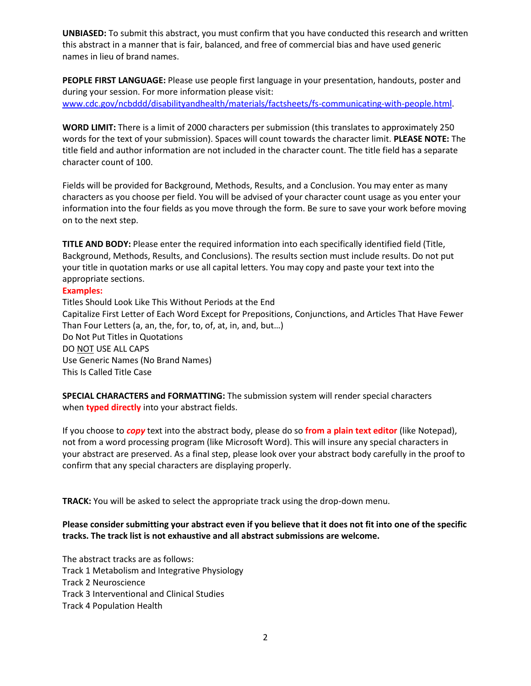**UNBIASED:** To submit this abstract, you must confirm that you have conducted this research and written this abstract in a manner that is fair, balanced, and free of commercial bias and have used generic names in lieu of brand names.

**PEOPLE FIRST LANGUAGE:** Please use people first language in your presentation, handouts, poster and during your session. For more information please visit: [www.cdc.gov/ncbddd/disabilityandhealth/materials/factsheets/fs-communicating-with-people.html.](http://www.cdc.gov/ncbddd/disabilityandhealth/materials/factsheets/fs-communicating-with-people.html)

**WORD LIMIT:** There is a limit of 2000 characters per submission (this translates to approximately 250 words for the text of your submission). Spaces will count towards the character limit. **PLEASE NOTE:** The title field and author information are not included in the character count. The title field has a separate character count of 100.

Fields will be provided for Background, Methods, Results, and a Conclusion. You may enter as many characters as you choose per field. You will be advised of your character count usage as you enter your information into the four fields as you move through the form. Be sure to save your work before moving on to the next step.

**TITLE AND BODY:** Please enter the required information into each specifically identified field (Title, Background, Methods, Results, and Conclusions). The results section must include results. Do not put your title in quotation marks or use all capital letters. You may copy and paste your text into the appropriate sections.

## **Examples:**

Titles Should Look Like This Without Periods at the End Capitalize First Letter of Each Word Except for Prepositions, Conjunctions, and Articles That Have Fewer Than Four Letters (a, an, the, for, to, of, at, in, and, but…) Do Not Put Titles in Quotations DO NOT USE ALL CAPS Use Generic Names (No Brand Names) This Is Called Title Case

**SPECIAL CHARACTERS and FORMATTING:** The submission system will render special characters when **typed directly** into your abstract fields.

If you choose to *copy* text into the abstract body, please do so **from a plain text editor** (like Notepad), not from a word processing program (like Microsoft Word). This will insure any special characters in your abstract are preserved. As a final step, please look over your abstract body carefully in the proof to confirm that any special characters are displaying properly.

**TRACK:** You will be asked to select the appropriate track using the drop-down menu.

## **Please consider submitting your abstract even if you believe that it does not fit into one of the specific tracks. The track list is not exhaustive and all abstract submissions are welcome.**

The abstract tracks are as follows: Track 1 Metabolism and Integrative Physiology Track 2 Neuroscience Track 3 Interventional and Clinical Studies Track 4 Population Health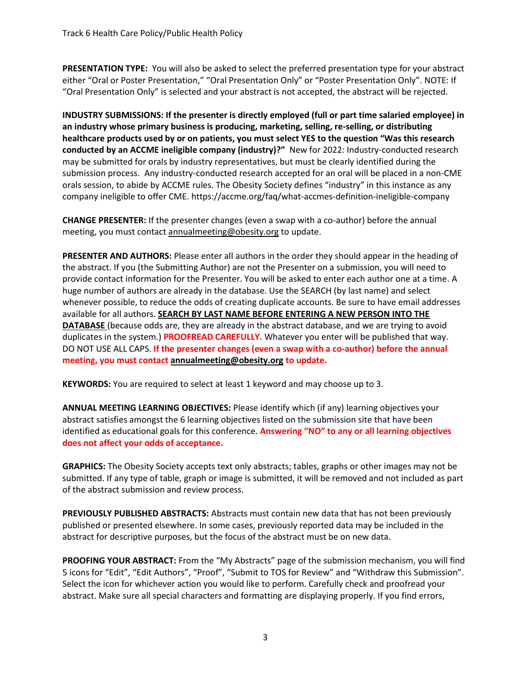**PRESENTATION TYPE:** You will also be asked to select the preferred presentation type for your abstract either "Oral or Poster Presentation," "Oral Presentation Only" or "Poster Presentation Only". NOTE: If "Oral Presentation Only" is selected and your abstract is not accepted, the abstract will be rejected.

**INDUSTRY SUBMISSIONS: If the presenter is directly employed (full or part time salaried employee) in an industry whose primary business is producing, marketing, selling, re-selling, or distributing healthcare products used by or on patients, you must select YES to the question "Was this research conducted by an ACCME ineligible company (industry)?"** New for 2022: Industry-conducted research may be submitted for orals by industry representatives, but must be clearly identified during the submission process. Any industry-conducted research accepted for an oral will be placed in a non-CME orals session, to abide by ACCME rules. The Obesity Society defines "industry" in this instance as any company ineligible to offer CME. <https://accme.org/faq/what-accmes-definition-ineligible-company>

**CHANGE PRESENTER:** If the presenter changes (even a swap with a co-author) before the annual meeting, you must contact [annualmeeting@obesity.org](mailto:annualmeeting@obesity.org) to update.

**PRESENTER AND AUTHORS:** Please enter all authors in the order they should appear in the heading of the abstract. If you (the Submitting Author) are not the Presenter on a submission, you will need to provide contact information for the Presenter. You will be asked to enter each author one at a time. A huge number of authors are already in the database. Use the SEARCH (by last name) and select whenever possible, to reduce the odds of creating duplicate accounts. Be sure to have email addresses available for all authors. **SEARCH BY LAST NAME BEFORE ENTERING A NEW PERSON INTO THE DATABASE** (because odds are, they are already in the abstract database, and we are trying to avoid duplicates in the system.) **PROOFREAD CAREFULLY.** Whatever you enter will be published that way. DO NOT USE ALL CAPS. **If the presenter changes (even a swap with a co-author) before the annual meeting, you must contact [annualmeeting@obesity.org](mailto:annualmeeting@obesity.org) to update.**

**KEYWORDS:** You are required to select at least 1 keyword and may choose up to 3.

**ANNUAL MEETING LEARNING OBJECTIVES:** Please identify which (if any) learning objectives your abstract satisfies amongst the 6 learning objectives listed on the submission site that have been identified as educational goals for this conference. **Answering "NO" to any or all learning objectives does not affect your odds of acceptance.**

**GRAPHICS:** The Obesity Society accepts text only abstracts; tables, graphs or other images may not be submitted. If any type of table, graph or image is submitted, it will be removed and not included as part of the abstract submission and review process.

**PREVIOUSLY PUBLISHED ABSTRACTS:** Abstracts must contain new data that has not been previously published or presented elsewhere. In some cases, previously reported data may be included in the abstract for descriptive purposes, but the focus of the abstract must be on new data.

**PROOFING YOUR ABSTRACT:** From the "My Abstracts" page of the submission mechanism, you will find 5 icons for "Edit", "Edit Authors", "Proof", "Submit to TOS for Review" and "Withdraw this Submission". Select the icon for whichever action you would like to perform. Carefully check and proofread your abstract. Make sure all special characters and formatting are displaying properly. If you find errors,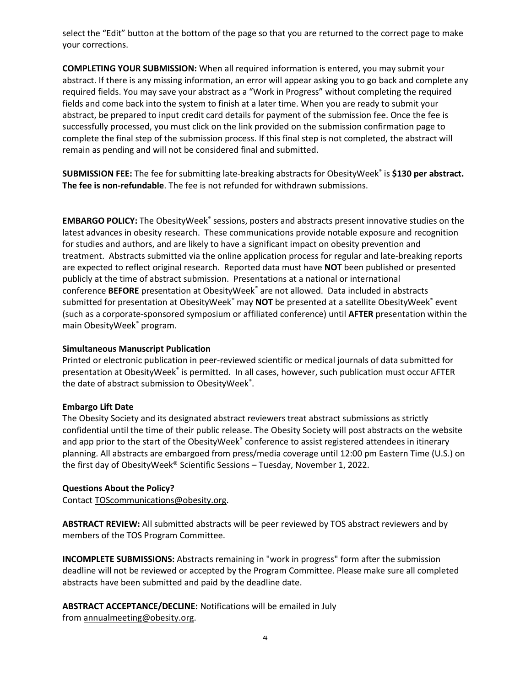select the "Edit" button at the bottom of the page so that you are returned to the correct page to make your corrections.

**COMPLETING YOUR SUBMISSION:** When all required information is entered, you may submit your abstract. If there is any missing information, an error will appear asking you to go back and complete any required fields. You may save your abstract as a "Work in Progress" without completing the required fields and come back into the system to finish at a later time. When you are ready to submit your abstract, be prepared to input credit card details for payment of the submission fee. Once the fee is successfully processed, you must click on the link provided on the submission confirmation page to complete the final step of the submission process. If this final step is not completed, the abstract will remain as pending and will not be considered final and submitted.

**SUBMISSION FEE:** The fee for submitting late-breaking abstracts for ObesityWeek® is **\$130 per abstract. The fee is non-refundable**. The fee is not refunded for withdrawn submissions.

EMBARGO POLICY: The ObesityWeek® sessions, posters and abstracts present innovative studies on the latest advances in obesity research. These communications provide notable exposure and recognition for studies and authors, and are likely to have a significant impact on obesity prevention and treatment. Abstracts submitted via the online application process for regular and late-breaking reports are expected to reflect original research. Reported data must have **NOT** been published or presented publicly at the time of abstract submission. Presentations at a national or international conference **BEFORE** presentation at ObesityWeek® are not allowed. Data included in abstracts submitted for presentation at ObesityWeek<sup>®</sup> may **NOT** be presented at a satellite ObesityWeek<sup>®</sup> event (such as a corporate-sponsored symposium or affiliated conference) until **AFTER** presentation within the main ObesityWeek® program.

## **Simultaneous Manuscript Publication**

Printed or electronic publication in peer-reviewed scientific or medical journals of data submitted for presentation at ObesityWeek® is permitted. In all cases, however, such publication must occur AFTER the date of abstract submission to ObesityWeek $\degree$ .

### **Embargo Lift Date**

The Obesity Society and its designated abstract reviewers treat abstract submissions as strictly confidential until the time of their public release. The Obesity Society will post abstracts on the website and app prior to the start of the ObesityWeek® conference to assist registered attendees in itinerary planning. All abstracts are embargoed from press/media coverage until 12:00 pm Eastern Time (U.S.) on the first day of ObesityWeek® Scientific Sessions – Tuesday, November 1, 2022.

## **Questions About the Policy?**

Contact [TOScommunications@obesity.org.](mailto:TOScommunications@obesity.org)

**ABSTRACT REVIEW:** All submitted abstracts will be peer reviewed by TOS abstract reviewers and by members of the TOS Program Committee.

**INCOMPLETE SUBMISSIONS:** Abstracts remaining in "work in progress" form after the submission deadline will not be reviewed or accepted by the Program Committee. Please make sure all completed abstracts have been submitted and paid by the deadline date.

**ABSTRACT ACCEPTANCE/DECLINE:** Notifications will be emailed in July from [annualmeeting@obesity.org.](mailto:annualmeeting@obesity.org)